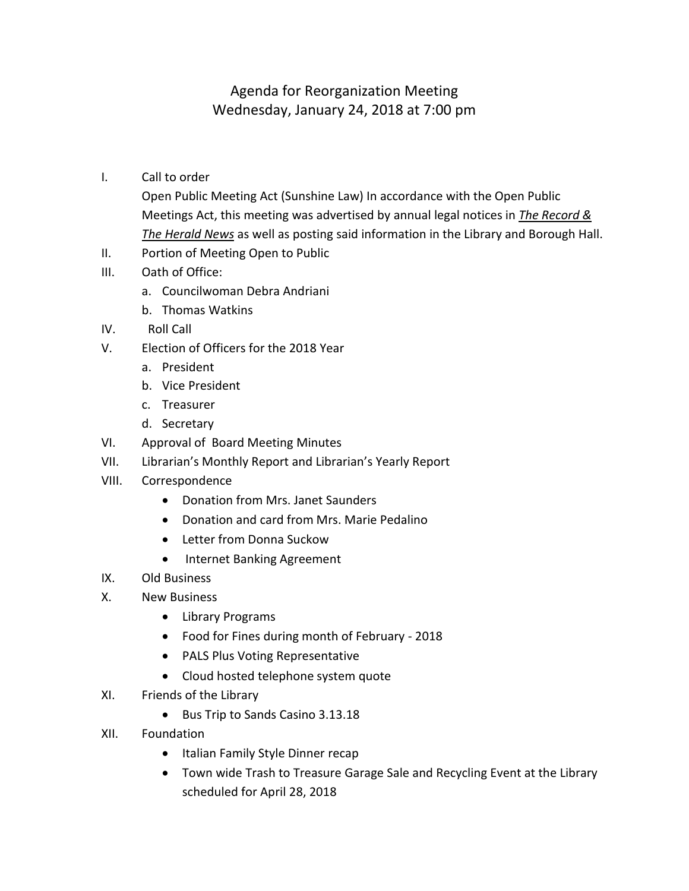## Agenda for Reorganization Meeting Wednesday, January 24, 2018 at 7:00 pm

I. Call to order

Open Public Meeting Act (Sunshine Law) In accordance with the Open Public Meetings Act, this meeting was advertised by annual legal notices in *The Record & The Herald News* as well as posting said information in the Library and Borough Hall.

- II. Portion of Meeting Open to Public
- III. Oath of Office:
	- a. Councilwoman Debra Andriani
	- b. Thomas Watkins
- IV. Roll Call
- V. Election of Officers for the 2018 Year
	- a. President
	- b. Vice President
	- c. Treasurer
	- d. Secretary
- VI. Approval of Board Meeting Minutes
- VII. Librarian's Monthly Report and Librarian's Yearly Report
- VIII. Correspondence
	- Donation from Mrs. Janet Saunders
	- Donation and card from Mrs. Marie Pedalino
	- Letter from Donna Suckow
	- Internet Banking Agreement
- IX. Old Business
- X. New Business
	- Library Programs
	- Food for Fines during month of February 2018
	- PALS Plus Voting Representative
	- Cloud hosted telephone system quote
- XI. Friends of the Library
	- Bus Trip to Sands Casino 3.13.18
- XII. Foundation
	- Italian Family Style Dinner recap
	- Town wide Trash to Treasure Garage Sale and Recycling Event at the Library scheduled for April 28, 2018